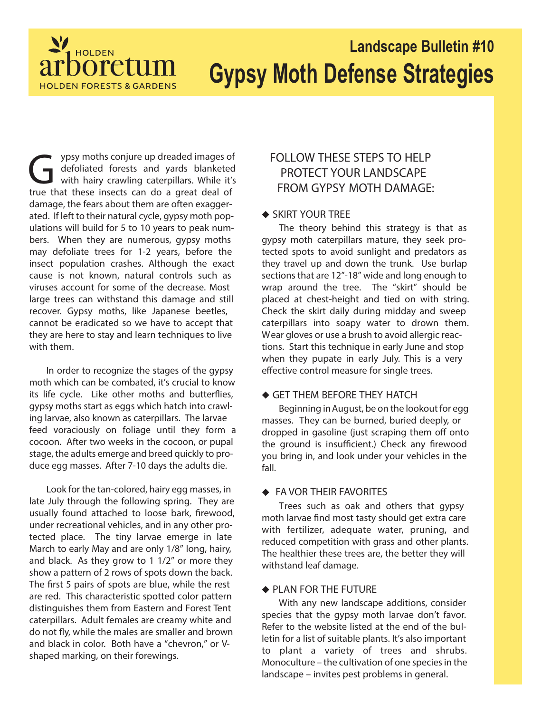

# **Landscape Bulletin #10 Gypsy Moth Defense Strategies**

The ypsy moths conjure up dreaded images of defoliated forests and yards blanketed with hairy crawling caterpillars. While it' true that these insects can do a great deal of ypsy moths conjure up dreaded images of defoliated forests and yards blanketed with hairy crawling caterpillars. While it's damage, the fears about them are often exaggerated. If left to their natural cycle, gypsy moth populations will build for 5 to 10 years to peak numbers. When they are numerous, gypsy moths may defoliate trees for 1-2 years, before the insect population crashes. Although the exact cause is not known, natural controls such as viruses account for some of the decrease. Most large trees can withstand this damage and still recover. Gypsy moths, like Japanese beetles, cannot be eradicated so we have to accept that they are here to stay and learn techniques to live with them.

In order to recognize the stages of the gypsy moth which can be combated, it's crucial to know its life cycle. Like other moths and butterflies, gypsy moths start as eggs which hatch into crawling larvae, also known as caterpillars. The larvae feed voraciously on foliage until they form a cocoon. After two weeks in the cocoon, or pupal stage, the adults emerge and breed quickly to produce egg masses. After 7-10 days the adults die.

Look for the tan-colored, hairy egg masses, in late July through the following spring. They are usually found attached to loose bark, firewood, under recreational vehicles, and in any other protected place. The tiny larvae emerge in late March to early May and are only 1/8" long, hairy, and black. As they grow to 1 1/2" or more they show a pattern of 2 rows of spots down the back. The first 5 pairs of spots are blue, while the rest are red. This characteristic spotted color pattern distinguishes them from Eastern and Forest Tent caterpillars. Adult females are creamy white and do not fly, while the males are smaller and brown and black in color. Both have a "chevron," or Vshaped marking, on their forewings.

# **FOLLOW THESE STEPS TO HELP PROTECT YOUR LANDSCAPE FROM GYPSY MOTH DAMAGE:**

# ◆ SKIRT YOUR TREE

The theory behind this strategy is that as gypsy moth caterpillars mature, they seek protected spots to avoid sunlight and predators as they travel up and down the trunk. Use burlap sections that are 12"-18" wide and long enough to wrap around the tree. The "skirt" should be placed at chest-height and tied on with string. Check the skirt daily during midday and sweep caterpillars into soapy water to drown them. Wear gloves or use a brush to avoid allergic reactions. Start this technique in early June and stop when they pupate in early July. This is a very effective control measure for single trees.

#### **GET THEM BEFORE THEY HATCH**

Beginning in August, be on the lookout for egg masses. They can be burned, buried deeply, or dropped in gasoline (just scraping them off onto the ground is insufficient.) Check any firewood you bring in, and look under your vehicles in the fall.

#### **FA VOR THEIR FAVORITES**

Trees such as oak and others that gypsy moth larvae find most tasty should get extra care with fertilizer, adequate water, pruning, and reduced competition with grass and other plants. The healthier these trees are, the better they will withstand leaf damage.

# **PLAN FOR THE FUTURE**

With any new landscape additions, consider species that the gypsy moth larvae don't favor. Refer to the website listed at the end of the bulletin for a list of suitable plants. It's also important to plant a variety of trees and shrubs. Monoculture – the cultivation of one species in the landscape – invites pest problems in general.